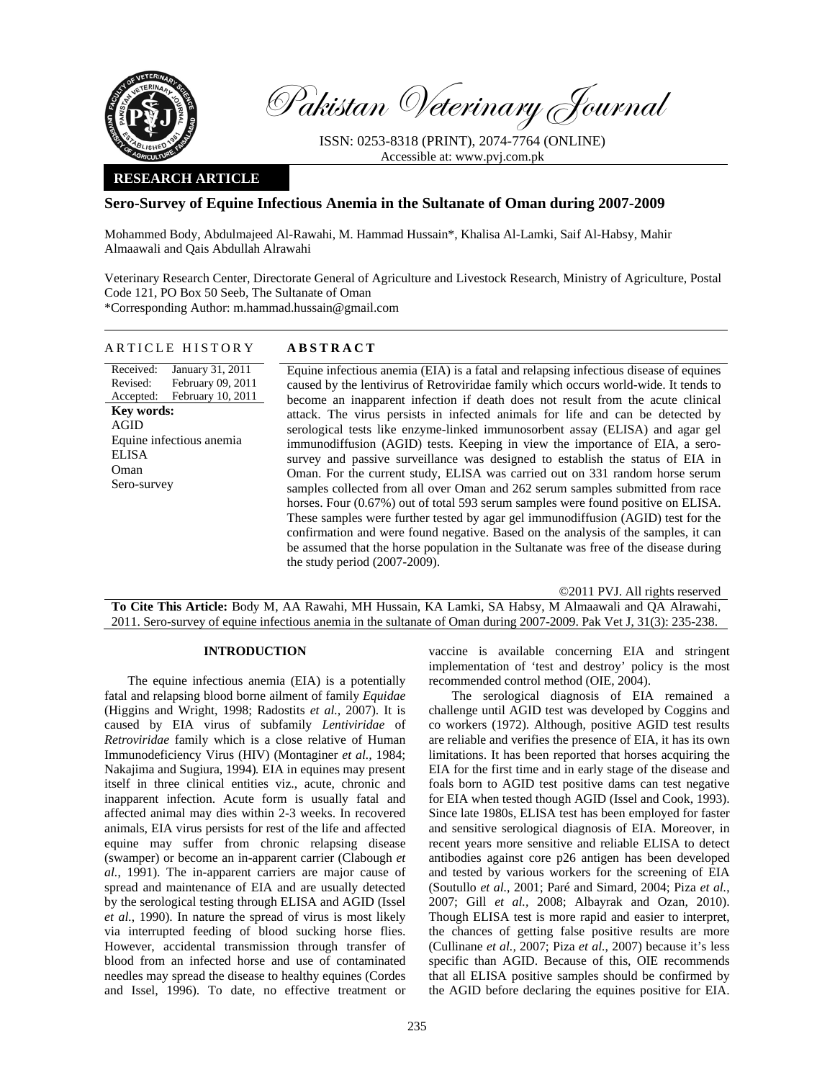

Pakistan Veterinary Journal

ISSN: 0253-8318 (PRINT), 2074-7764 (ONLINE) Accessible at: www.pvj.com.pk

# **RESEARCH ARTICLE**

## **Sero-Survey of Equine Infectious Anemia in the Sultanate of Oman during 2007-2009**

Mohammed Body, Abdulmajeed Al-Rawahi, M. Hammad Hussain\*, Khalisa Al-Lamki, Saif Al-Habsy, Mahir Almaawali and Qais Abdullah Alrawahi

Veterinary Research Center, Directorate General of Agriculture and Livestock Research, Ministry of Agriculture, Postal Code 121, PO Box 50 Seeb, The Sultanate of Oman \*Corresponding Author: m.hammad.hussain@gmail.com

### ARTICLE HISTORY **ABSTRACT**

Received: Revised: Accepted: January 31, 2011 February 09, 2011 February 10, 2011 **Key words:**  AGID Equine infectious anemia ELISA Oman Sero-survey

Equine infectious anemia (EIA) is a fatal and relapsing infectious disease of equines caused by the lentivirus of Retroviridae family which occurs world-wide. It tends to become an inapparent infection if death does not result from the acute clinical attack. The virus persists in infected animals for life and can be detected by serological tests like enzyme-linked immunosorbent assay (ELISA) and agar gel immunodiffusion (AGID) tests. Keeping in view the importance of EIA, a serosurvey and passive surveillance was designed to establish the status of EIA in Oman. For the current study, ELISA was carried out on 331 random horse serum samples collected from all over Oman and 262 serum samples submitted from race horses. Four  $(0.67%)$  out of total 593 serum samples were found positive on ELISA. These samples were further tested by agar gel immunodiffusion (AGID) test for the confirmation and were found negative. Based on the analysis of the samples, it can be assumed that the horse population in the Sultanate was free of the disease during the study period (2007-2009).

©2011 PVJ. All rights reserved **To Cite This Article:** Body M, AA Rawahi, MH Hussain, KA Lamki, SA Habsy, M Almaawali and QA Alrawahi, 2011. Sero-survey of equine infectious anemia in the sultanate of Oman during 2007-2009. Pak Vet J, 31(3): 235-238.

# **INTRODUCTION**

The equine infectious anemia (EIA) is a potentially fatal and relapsing blood borne ailment of family *Equidae* (Higgins and Wright, 1998; Radostits *et al.,* 2007). It is caused by EIA virus of subfamily *Lentiviridae* of *Retroviridae* family which is a close relative of Human Immunodeficiency Virus (HIV) (Montaginer *et al.,* 1984; Nakajima and Sugiura, 1994)*.* EIA in equines may present itself in three clinical entities viz., acute, chronic and inapparent infection. Acute form is usually fatal and affected animal may dies within 2-3 weeks. In recovered animals, EIA virus persists for rest of the life and affected equine may suffer from chronic relapsing disease (swamper) or become an in-apparent carrier (Clabough *et al.*, 1991). The in-apparent carriers are major cause of spread and maintenance of EIA and are usually detected by the serological testing through ELISA and AGID (Issel *et al.*, 1990). In nature the spread of virus is most likely via interrupted feeding of blood sucking horse flies. However, accidental transmission through transfer of blood from an infected horse and use of contaminated needles may spread the disease to healthy equines (Cordes and Issel, 1996). To date, no effective treatment or

vaccine is available concerning EIA and stringent implementation of 'test and destroy' policy is the most recommended control method (OIE, 2004).

The serological diagnosis of EIA remained a challenge until AGID test was developed by Coggins and co workers (1972). Although, positive AGID test results are reliable and verifies the presence of EIA, it has its own limitations. It has been reported that horses acquiring the EIA for the first time and in early stage of the disease and foals born to AGID test positive dams can test negative for EIA when tested though AGID (Issel and Cook, 1993). Since late 1980s, ELISA test has been employed for faster and sensitive serological diagnosis of EIA. Moreover, in recent years more sensitive and reliable ELISA to detect antibodies against core p26 antigen has been developed and tested by various workers for the screening of EIA (Soutullo *et al.*, 2001; Paré and Simard, 2004; Piza *et al.*, 2007; Gill *et al.,* 2008; Albayrak and Ozan, 2010). Though ELISA test is more rapid and easier to interpret, the chances of getting false positive results are more (Cullinane *et al.,* 2007; Piza *et al.*, 2007) because it's less specific than AGID. Because of this, OIE recommends that all ELISA positive samples should be confirmed by the AGID before declaring the equines positive for EIA.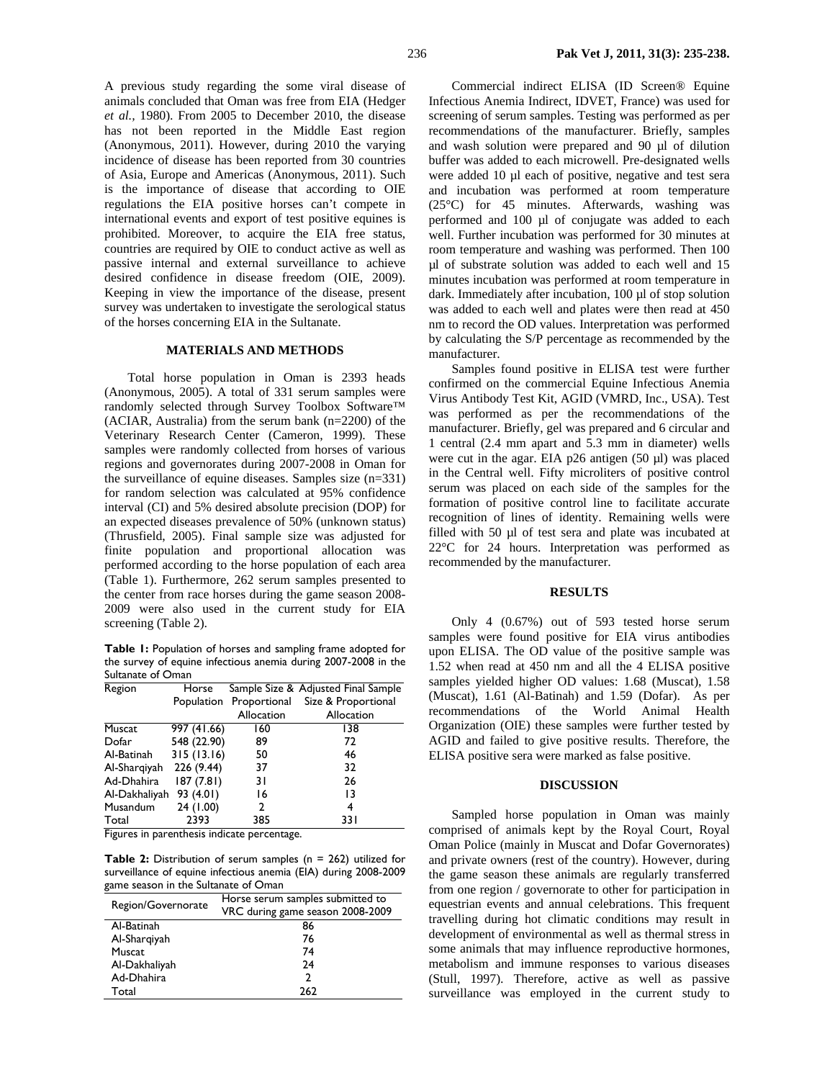A previous study regarding the some viral disease of animals concluded that Oman was free from EIA (Hedger *et al.,* 1980). From 2005 to December 2010, the disease has not been reported in the Middle East region (Anonymous, 2011). However, during 2010 the varying incidence of disease has been reported from 30 countries of Asia, Europe and Americas (Anonymous, 2011). Such is the importance of disease that according to OIE regulations the EIA positive horses can't compete in international events and export of test positive equines is prohibited. Moreover, to acquire the EIA free status, countries are required by OIE to conduct active as well as passive internal and external surveillance to achieve desired confidence in disease freedom (OIE, 2009). Keeping in view the importance of the disease, present survey was undertaken to investigate the serological status of the horses concerning EIA in the Sultanate.

#### **MATERIALS AND METHODS**

Total horse population in Oman is 2393 heads (Anonymous, 2005). A total of 331 serum samples were randomly selected through Survey Toolbox Software™ (ACIAR, Australia) from the serum bank (n=2200) of the Veterinary Research Center (Cameron, 1999). These samples were randomly collected from horses of various regions and governorates during 2007-2008 in Oman for the surveillance of equine diseases. Samples size (n=331) for random selection was calculated at 95% confidence interval (CI) and 5% desired absolute precision (DOP) for an expected diseases prevalence of 50% (unknown status) (Thrusfield, 2005). Final sample size was adjusted for finite population and proportional allocation was performed according to the horse population of each area (Table 1). Furthermore, 262 serum samples presented to the center from race horses during the game season 2008- 2009 were also used in the current study for EIA screening (Table 2).

**Table 1:** Population of horses and sampling frame adopted for the survey of equine infectious anemia during 2007-2008 in the Sultanate of Oman

| Region        | Horse       |                         | Sample Size & Adjusted Final Sample |
|---------------|-------------|-------------------------|-------------------------------------|
|               |             | Population Proportional | Size & Proportional                 |
|               |             | Allocation              | Allocation                          |
| Muscat        | 997 (41.66) | 160                     | 138                                 |
| Dofar         | 548 (22.90) | 89                      | 72                                  |
| Al-Batinah    | 315(13.16)  | 50                      | 46                                  |
| Al-Sharqiyah  | 226 (9.44)  | 37                      | 32                                  |
| Ad-Dhahira    | 187 (7.81)  | 31                      | 26                                  |
| Al-Dakhaliyah | 93 (4.01)   | 16                      | 13                                  |
| Musandum      | 24(1.00)    | 2                       | 4                                   |
| Total         | 2393        | 385                     | 33 I                                |

Figures in parenthesis indicate percentage.

**Table 2:** Distribution of serum samples (n = 262) utilized for surveillance of equine infectious anemia (EIA) during 2008-2009 game season in the Sultanate of Oman

|                    | Horse serum samples submitted to |  |
|--------------------|----------------------------------|--|
| Region/Governorate | VRC during game season 2008-2009 |  |
| Al-Batinah         | 86                               |  |
| Al-Sharqiyah       | 76                               |  |
| Muscat             | 74                               |  |
| Al-Dakhaliyah      | 24                               |  |
| Ad-Dhahira         | າ                                |  |
| Total              | 262                              |  |

Commercial indirect ELISA (ID Screen® Equine Infectious Anemia Indirect, IDVET, France) was used for screening of serum samples. Testing was performed as per recommendations of the manufacturer. Briefly, samples and wash solution were prepared and 90 µl of dilution buffer was added to each microwell. Pre-designated wells were added 10 µl each of positive, negative and test sera and incubation was performed at room temperature (25°C) for 45 minutes. Afterwards, washing was performed and 100 µl of conjugate was added to each well. Further incubation was performed for 30 minutes at room temperature and washing was performed. Then 100 µl of substrate solution was added to each well and 15 minutes incubation was performed at room temperature in dark. Immediately after incubation, 100 µl of stop solution was added to each well and plates were then read at 450 nm to record the OD values. Interpretation was performed by calculating the S/P percentage as recommended by the manufacturer.

Samples found positive in ELISA test were further confirmed on the commercial Equine Infectious Anemia Virus Antibody Test Kit, AGID (VMRD, Inc., USA). Test was performed as per the recommendations of the manufacturer. Briefly, gel was prepared and 6 circular and 1 central (2.4 mm apart and 5.3 mm in diameter) wells were cut in the agar. EIA p26 antigen (50 µl) was placed in the Central well. Fifty microliters of positive control serum was placed on each side of the samples for the formation of positive control line to facilitate accurate recognition of lines of identity. Remaining wells were filled with 50 µl of test sera and plate was incubated at 22°C for 24 hours. Interpretation was performed as recommended by the manufacturer.

### **RESULTS**

Only 4 (0.67%) out of 593 tested horse serum samples were found positive for EIA virus antibodies upon ELISA. The OD value of the positive sample was 1.52 when read at 450 nm and all the 4 ELISA positive samples yielded higher OD values: 1.68 (Muscat), 1.58 (Muscat), 1.61 (Al-Batinah) and 1.59 (Dofar). As per recommendations of the World Animal Health Organization (OIE) these samples were further tested by AGID and failed to give positive results. Therefore, the ELISA positive sera were marked as false positive.

#### **DISCUSSION**

Sampled horse population in Oman was mainly comprised of animals kept by the Royal Court, Royal Oman Police (mainly in Muscat and Dofar Governorates) and private owners (rest of the country). However, during the game season these animals are regularly transferred from one region / governorate to other for participation in equestrian events and annual celebrations. This frequent travelling during hot climatic conditions may result in development of environmental as well as thermal stress in some animals that may influence reproductive hormones, metabolism and immune responses to various diseases (Stull, 1997). Therefore, active as well as passive surveillance was employed in the current study to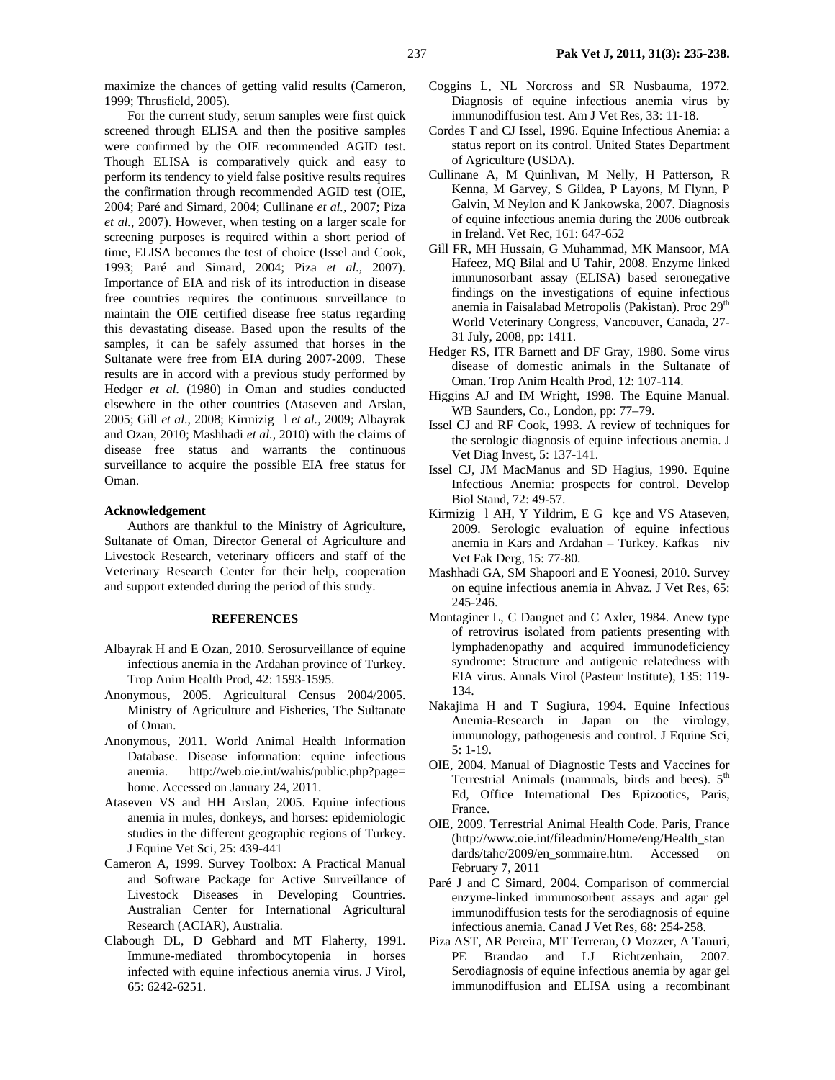maximize the chances of getting valid results (Cameron, 1999; Thrusfield, 2005).

For the current study, serum samples were first quick screened through ELISA and then the positive samples were confirmed by the OIE recommended AGID test. Though ELISA is comparatively quick and easy to perform its tendency to yield false positive results requires the confirmation through recommended AGID test (OIE, 2004; Paré and Simard, 2004; Cullinane *et al.,* 2007; Piza *et al.*, 2007). However, when testing on a larger scale for screening purposes is required within a short period of time, ELISA becomes the test of choice (Issel and Cook, 1993; Paré and Simard, 2004; Piza *et al.,* 2007). Importance of EIA and risk of its introduction in disease free countries requires the continuous surveillance to maintain the OIE certified disease free status regarding this devastating disease. Based upon the results of the samples, it can be safely assumed that horses in the Sultanate were free from EIA during 2007-2009. These results are in accord with a previous study performed by Hedger *et al.* (1980) in Oman and studies conducted elsewhere in the other countries (Ataseven and Arslan, 2005; Gill *et al*., 2008; Kirmizigl *et al.,* 2009; Albayrak and Ozan, 2010; Mashhadi *et al.,* 2010) with the claims of disease free status and warrants the continuous surveillance to acquire the possible EIA free status for Oman.

### **Acknowledgement**

Authors are thankful to the Ministry of Agriculture, Sultanate of Oman, Director General of Agriculture and Livestock Research, veterinary officers and staff of the Veterinary Research Center for their help, cooperation and support extended during the period of this study.

#### **REFERENCES**

- Albayrak H and E Ozan, 2010. Serosurveillance of equine infectious anemia in the Ardahan province of Turkey. Trop Anim Health Prod, 42: 1593-1595.
- Anonymous, 2005. Agricultural Census 2004/2005. Ministry of Agriculture and Fisheries, The Sultanate of Oman.
- Anonymous, 2011. World Animal Health Information Database. Disease information: equine infectious anemia. http://web.oie.int/wahis/public.php?page= home. Accessed on January 24, 2011.
- Ataseven VS and HH Arslan, 2005. Equine infectious anemia in mules, donkeys, and horses: epidemiologic studies in the different geographic regions of Turkey. J Equine Vet Sci, 25: 439-441
- Cameron A, 1999. Survey Toolbox: A Practical Manual and Software Package for Active Surveillance of Livestock Diseases in Developing Countries. Australian Center for International Agricultural Research (ACIAR), Australia.
- Clabough DL, D Gebhard and MT Flaherty, 1991. Immune-mediated thrombocytopenia in horses infected with equine infectious anemia virus. J Virol, 65: 6242-6251.
- Coggins L, NL Norcross and SR Nusbauma, 1972. Diagnosis of equine infectious anemia virus by immunodiffusion test. Am J Vet Res, 33: 11-18.
- Cordes T and CJ Issel, 1996. Equine Infectious Anemia: a status report on its control. United States Department of Agriculture (USDA).
- Cullinane A, M Quinlivan, M Nelly, H Patterson, R Kenna, M Garvey, S Gildea, P Layons, M Flynn, P Galvin, M Neylon and K Jankowska*,* 2007. Diagnosis of equine infectious anemia during the 2006 outbreak in Ireland. Vet Rec, 161: 647-652
- Gill FR, MH Hussain, G Muhammad, MK Mansoor, MA Hafeez, MQ Bilal and U Tahir, 2008. Enzyme linked immunosorbant assay (ELISA) based seronegative findings on the investigations of equine infectious anemia in Faisalabad Metropolis (Pakistan). Proc 29<sup>th</sup> World Veterinary Congress, Vancouver, Canada, 27- 31 July, 2008, pp: 1411.
- Hedger RS, ITR Barnett and DF Gray, 1980. Some virus disease of domestic animals in the Sultanate of Oman. Trop Anim Health Prod, 12: 107-114.
- Higgins AJ and IM Wright, 1998. The Equine Manual. WB Saunders, Co., London, pp: 77–79.
- Issel CJ and RF Cook, 1993. A review of techniques for the serologic diagnosis of equine infectious anemia. J Vet Diag Invest, 5: 137-141.
- Issel CJ, JM MacManus and SD Hagius, 1990. Equine Infectious Anemia: prospects for control. Develop Biol Stand, 72: 49-57.
- Kirmizig  $\,$  1 AH, Y Yildrim, E G kce and VS Ataseven, 2009. Serologic evaluation of equine infectious anemia in Kars and Ardahan – Turkey. Kafkas niv Vet Fak Derg, 15: 77-80.
- Mashhadi GA, SM Shapoori and E Yoonesi, 2010. Survey on equine infectious anemia in Ahvaz. J Vet Res, 65: 245-246.
- Montaginer L, C Dauguet and C Axler, 1984. Anew type of retrovirus isolated from patients presenting with lymphadenopathy and acquired immunodeficiency syndrome: Structure and antigenic relatedness with EIA virus. Annals Virol (Pasteur Institute), 135: 119- 134.
- Nakajima H and T Sugiura, 1994. Equine Infectious Anemia-Research in Japan on the virology, immunology, pathogenesis and control. J Equine Sci, 5: 1-19.
- OIE, 2004. Manual of Diagnostic Tests and Vaccines for Terrestrial Animals (mammals, birds and bees).  $5<sup>th</sup>$ Ed, Office International Des Epizootics, Paris, France.
- OIE, 2009. Terrestrial Animal Health Code. Paris, France (http://www.oie.int/fileadmin/Home/eng/Health\_stan dards/tahc/2009/en\_sommaire.htm. Accessed on February 7, 2011
- Paré J and C Simard, 2004. Comparison of commercial enzyme-linked immunosorbent assays and agar gel immunodiffusion tests for the serodiagnosis of equine infectious anemia. Canad J Vet Res, 68: 254-258.
- Piza AST, AR Pereira, MT Terreran, O Mozzer, A Tanuri, PE Brandao and LJ Richtzenhain, 2007. Serodiagnosis of equine infectious anemia by agar gel immunodiffusion and ELISA using a recombinant